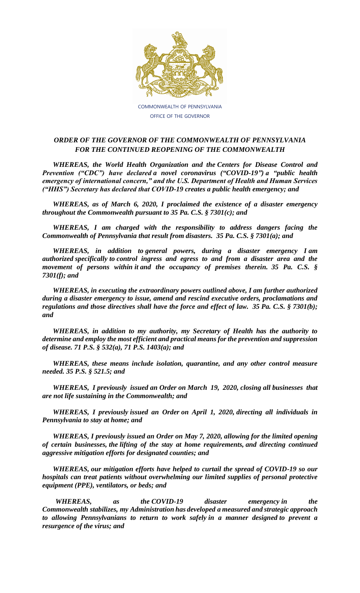

COMMONWEALTH OF PENNSYLVANIA OFFICE OF THE GOVERNOR

## *ORDER OF THE GOVERNOR OF THE COMMONWEALTH OF PENNSYLVANIA FOR THE CONTINUED REOPENING OF THE COMMONWEALTH*

*WHEREAS, the World Health Organization and the Centers for Disease Control and Prevention ("CDC") have declared a novel coronavirus ("COVID-19") a "public health emergency of international concern," and the U.S. Department of Health and Human Services ("HHS") Secretary has declared that COVID-19 creates a public health emergency; and*

*WHEREAS, as of March 6, 2020, I proclaimed the existence of a disaster emergency throughout the Commonwealth pursuant to 35 Pa. C.S. § 7301(c); and*

*WHEREAS, I am charged with the responsibility to address dangers facing the Commonwealth of Pennsylvania that result from disasters. 35 Pa. C.S. § 7301(a); and*

*WHEREAS, in addition to general powers, during a disaster emergency I am authorized specifically to control ingress and egress to and from a disaster area and the movement of persons within it and the occupancy of premises therein. 35 Pa. C.S. § 7301(f); and*

*WHEREAS, in executing the extraordinary powers outlined above, I am further authorized during a disaster emergency to issue, amend and rescind executive orders, proclamations and regulations and those directives shall have the force and effect of law. 35 Pa. C.S. § 7301(b); and*

*WHEREAS, in addition to my authority, my Secretary of Health has the authority to determine and employ the most efficient and practical means for the prevention and suppression of disease. 71 P.S. § 532(a), 71 P.S. 1403(a); and*

*WHEREAS, these means include isolation, quarantine, and any other control measure needed. 35 P.S. § 521.5; and*

*WHEREAS, I previously issued an Order on March 19, 2020, closing all businesses that are not life sustaining in the Commonwealth; and*

*WHEREAS, I previously issued an Order on April 1, 2020, directing all individuals in Pennsylvania to stay at home; and*

*WHEREAS, I previously issued an Order on May 7, 2020, allowing for the limited opening of certain businesses, the lifting of the stay at home requirements, and directing continued aggressive mitigation efforts for designated counties; and*

*WHEREAS, our mitigation efforts have helped to curtail the spread of COVID-19 so our hospitals can treat patients without overwhelming our limited supplies of personal protective equipment (PPE), ventilators, or beds; and*

*WHEREAS, as the COVID-19 disaster emergency in the Commonwealth stabilizes, my Administration has developed a measured and strategic approach to allowing Pennsylvanians to return to work safely in a manner designed to prevent a resurgence of the virus; and*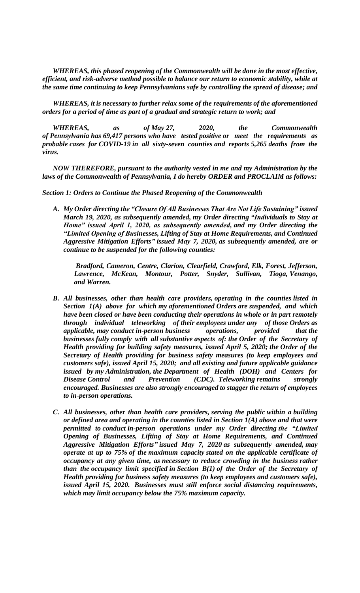*WHEREAS, this phased reopening of the Commonwealth will be done in the most effective, efficient, and risk-adverse method possible to balance our return to economic stability, while at the same time continuing to keep Pennsylvanians safe by controlling the spread of disease; and*

*WHEREAS, it is necessary to further relax some of the requirements of the aforementioned orders for a period of time as part of a gradual and strategic return to work; and*

*WHEREAS, as of May 27, 2020, the Commonwealth of Pennsylvania has 69,417 persons who have tested positive or meet the requirements as probable cases for COVID-19 in all sixty-seven counties and reports 5,265 deaths from the virus.*

*NOW THEREFORE, pursuant to the authority vested in me and my Administration by the laws of the Commonwealth of Pennsylvania, I do hereby ORDER and PROCLAIM as follows:*

*Section 1: Orders to Continue the Phased Reopening of the Commonwealth*

*A. My Order directing the "Closure Of All Businesses That Are Not Life Sustaining" issued March 19, 2020, as subsequently amended, my Order directing "Individuals to Stay at Home" issued April 1, 2020, as subsequently amended, and my Order directing the "Limited Opening of Businesses, Lifting of Stay at Home Requirements, and Continued Aggressive Mitigation Efforts" issued May 7, 2020, as subsequently amended, are or continue to be suspended for the following counties:*

*Bradford, Cameron, Centre, Clarion, Clearfield, Crawford, Elk, Forest, Jefferson, Lawrence, McKean, Montour, Potter, Snyder, Sullivan, Tioga, Venango, and Warren.*

- *B. All businesses, other than health care providers, operating in the counties listed in Section 1(A) above for which my aforementioned Orders are suspended, and which have been closed or have been conducting their operations in whole or in part remotely through individual teleworking of their employees under any of those Orders as applicable, may conduct in-person business operations, provided that the businesses fully comply with all substantive aspects of: the Order of the Secretary of Health providing for building safety measures, issued April 5, 2020; the Order of the Secretary of Health providing for business safety measures (to keep employees and customers safe), issued April 15, 2020; and all existing and future applicable guidance issued by my Administration, the Department of Health (DOH) and Centers for Disease* Control and Prevention (CDC). Teleworking remains strongly *encouraged. Businesses are also strongly encouraged to stagger the return of employees to in-person operations.*
- *C. All businesses, other than health care providers, serving the public within a building or defined area and operating in the counties listed in Section 1(A) above and that were permitted to conduct in-person operations under my Order directing the "Limited Opening of Businesses, Lifting of Stay at Home Requirements, and Continued Aggressive Mitigation Efforts" issued May 7, 2020 as subsequently amended, may operate at up to 75% of the maximum capacity stated on the applicable certificate of occupancy at any given time, as necessary to reduce crowding in the business rather than the occupancy limit specified in Section B(1) of the Order of the Secretary of Health providing for business safety measures (to keep employees and customers safe), issued April 15, 2020. Businesses must still enforce social distancing requirements, which may limit occupancy below the 75% maximum capacity.*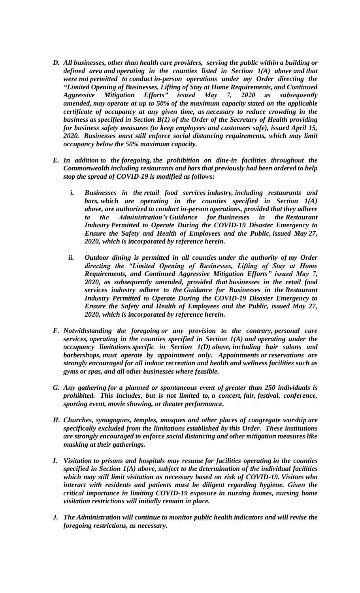- *D. All businesses, other than health care providers, serving the public within a building or defined area and operating in the counties listed in Section 1(A) above and that were not permitted to conduct in-person operations under my Order directing the "Limited Opening of Businesses, Lifting of Stay at Home Requirements, and Continued Aggressive Mitigation Efforts" issued May 7, 2020 as subsequently amended, may operate at up to 50% of the maximum capacity stated on the applicable certificate of occupancy at any given time, as necessary to reduce crowding in the business as specified in Section B(1) of the Order of the Secretary of Health providing for business safety measures (to keep employees and customers safe), issued April 15, 2020. Businesses must still enforce social distancing requirements, which may limit occupancy below the 50% maximum capacity.*
- *E. In addition to the foregoing, the prohibition on dine-in facilities throughout the Commonwealth including restaurants and bars that previously had been ordered to help stop the spread of COVID-19 is modified as follows:*
	- *i. Businesses in the retail food services industry, including restaurants and bars, which are operating in the counties specified in Section 1(A) above, are authorized to conduct in-person operations, provided that they adhere the Administration's Guidance for Businesses in the Restaurant Industry Permitted to Operate During the COVID-19 Disaster Emergency to Ensure the Safety and Health of Employees and the Public, issued May 27, 2020, which is incorporated by reference herein.*
	- *ii. Outdoor dining is permitted in all counties under the authority of my Order directing the "Limited Opening of Businesses, Lifting of Stay at Home Requirements, and Continued Aggressive Mitigation Efforts" issued May 7, 2020, as subsequently amended, provided that businesses in the retail food services industry adhere to the Guidance for Businesses in the Restaurant Industry Permitted to Operate During the COVID-19 Disaster Emergency to Ensure the Safety and Health of Employees and the Public, issued May 27, 2020, which is incorporated by reference herein.*
- *F. Notwithstanding the foregoing or any provision to the contrary, personal care services, operating in the counties specified in Section 1(A) and operating under the occupancy limitations specific in Section 1(D) above, including hair salons and barbershops, must operate by appointment only. Appointments or reservations are strongly encouraged for all indoor recreation and health and wellness facilities such as gyms or spas, and all other businesses where feasible.*
- *G. Any gathering for a planned or spontaneous event of greater than 250 individuals is prohibited. This includes, but is not limited to, a concert, fair, festival, conference, sporting event, movie showing, or theater performance.*
- *H. Churches, synagogues, temples, mosques and other places of congregate worship are specifically excluded from the limitations established by this Order. These institutions are strongly encouraged to enforce social distancing and other mitigation measures like masking at their gatherings.*
- *I. Visitation to prisons and hospitals may resume for facilities operating in the counties specified in Section 1(A) above, subject to the determination of the individual facilities which may still limit visitation as necessary based on risk of COVID-19. Visitors who interact with residents and patients must be diligent regarding hygiene. Given the critical importance in limiting COVID-19 exposure in nursing homes, nursing home visitation restrictions will initially remain in place.*
- *J. The Administration will continue to monitor public health indicators and will revise the foregoing restrictions, as necessary.*